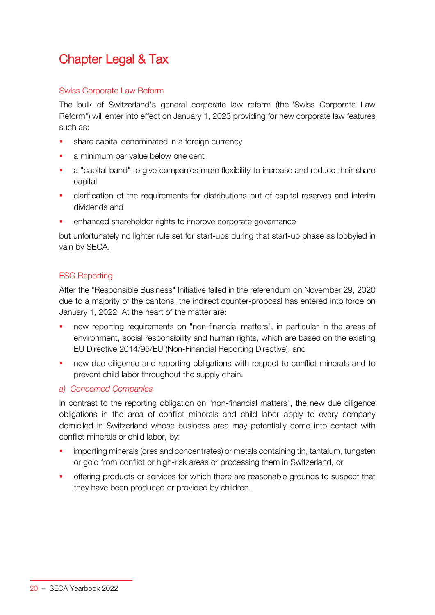# Chapter Legal & Tax

# Swiss Corporate Law Reform

The bulk of Switzerland's general corporate law reform (the "Swiss Corporate Law Reform") will enter into effect on January 1, 2023 providing for new corporate law features such as:

- share capital denominated in a foreign currency
- a minimum par value below one cent
- a "capital band" to give companies more flexibility to increase and reduce their share capital
- clarification of the requirements for distributions out of capital reserves and interim dividends and
- enhanced shareholder rights to improve corporate governance

but unfortunately no lighter rule set for start-ups during that start-up phase as lobbyied in vain by SECA.

# ESG Reporting

After the "Responsible Business" Initiative failed in the referendum on November 29, 2020 due to a majority of the cantons, the indirect counter-proposal has entered into force on January 1, 2022. At the heart of the matter are:

- new reporting requirements on "non-financial matters", in particular in the areas of environment, social responsibility and human rights, which are based on the existing EU Directive 2014/95/EU (Non-Financial Reporting Directive); and
- **new due diligence and reporting obligations with respect to conflict minerals and to** prevent child labor throughout the supply chain.

# *a) Concerned Companies*

In contrast to the reporting obligation on "non-financial matters", the new due diligence obligations in the area of conflict minerals and child labor apply to every company domiciled in Switzerland whose business area may potentially come into contact with conflict minerals or child labor, by:

- importing minerals (ores and concentrates) or metals containing tin, tantalum, tungsten or gold from conflict or high-risk areas or processing them in Switzerland, or
- offering products or services for which there are reasonable grounds to suspect that they have been produced or provided by children.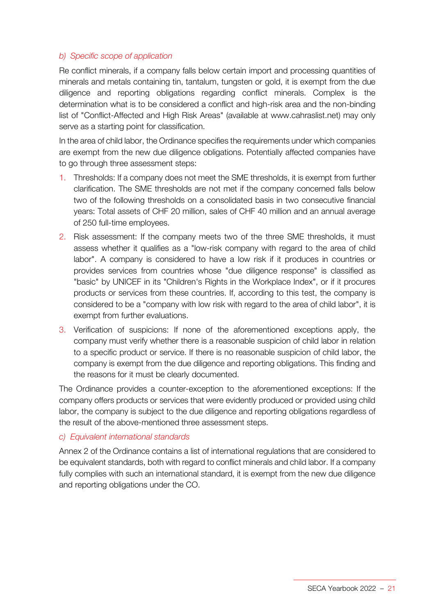# *b) Specific scope of application*

Re conflict minerals, if a company falls below certain import and processing quantities of minerals and metals containing tin, tantalum, tungsten or gold, it is exempt from the due diligence and reporting obligations regarding conflict minerals. Complex is the determination what is to be considered a conflict and high-risk area and the non-binding list of "Conflict-Affected and High Risk Areas" (available at www.cahraslist.net) may only serve as a starting point for classification.

In the area of child labor, the Ordinance specifies the requirements under which companies are exempt from the new due diligence obligations. Potentially affected companies have to go through three assessment steps:

- 1. Thresholds: If a company does not meet the SME thresholds, it is exempt from further clarification. The SME thresholds are not met if the company concerned falls below two of the following thresholds on a consolidated basis in two consecutive financial years: Total assets of CHF 20 million, sales of CHF 40 million and an annual average of 250 full-time employees.
- 2. Risk assessment: If the company meets two of the three SME thresholds, it must assess whether it qualifies as a "low-risk company with regard to the area of child labor". A company is considered to have a low risk if it produces in countries or provides services from countries whose "due diligence response" is classified as "basic" by UNICEF in its "Children's Rights in the Workplace Index", or if it procures products or services from these countries. If, according to this test, the company is considered to be a "company with low risk with regard to the area of child labor", it is exempt from further evaluations.
- 3. Verification of suspicions: If none of the aforementioned exceptions apply, the company must verify whether there is a reasonable suspicion of child labor in relation to a specific product or service. If there is no reasonable suspicion of child labor, the company is exempt from the due diligence and reporting obligations. This finding and the reasons for it must be clearly documented.

The Ordinance provides a counter-exception to the aforementioned exceptions: If the company offers products or services that were evidently produced or provided using child labor, the company is subject to the due diligence and reporting obligations regardless of the result of the above-mentioned three assessment steps.

# *c) Equivalent international standards*

Annex 2 of the Ordinance contains a list of international regulations that are considered to be equivalent standards, both with regard to conflict minerals and child labor. If a company fully complies with such an international standard, it is exempt from the new due diligence and reporting obligations under the CO.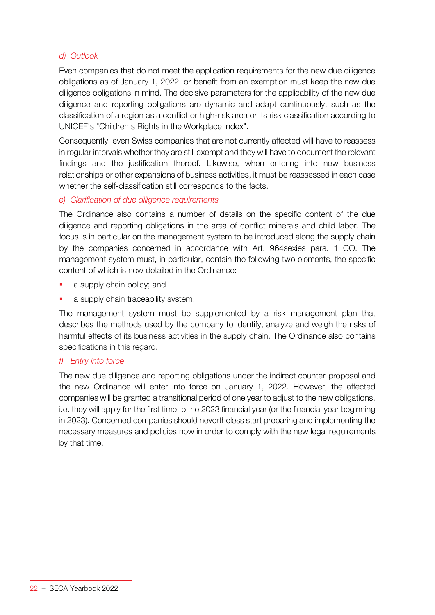# *d) Outlook*

Even companies that do not meet the application requirements for the new due diligence obligations as of January 1, 2022, or benefit from an exemption must keep the new due diligence obligations in mind. The decisive parameters for the applicability of the new due diligence and reporting obligations are dynamic and adapt continuously, such as the classification of a region as a conflict or high-risk area or its risk classification according to UNICEF's "Children's Rights in the Workplace Index".

Consequently, even Swiss companies that are not currently affected will have to reassess in regular intervals whether they are still exempt and they will have to document the relevant findings and the justification thereof. Likewise, when entering into new business relationships or other expansions of business activities, it must be reassessed in each case whether the self-classification still corresponds to the facts.

# *e) Clarification of due diligence requirements*

The Ordinance also contains a number of details on the specific content of the due diligence and reporting obligations in the area of conflict minerals and child labor. The focus is in particular on the management system to be introduced along the supply chain by the companies concerned in accordance with Art. 964sexies para. 1 CO. The management system must, in particular, contain the following two elements, the specific content of which is now detailed in the Ordinance:

- a supply chain policy; and
- a supply chain traceability system.

The management system must be supplemented by a risk management plan that describes the methods used by the company to identify, analyze and weigh the risks of harmful effects of its business activities in the supply chain. The Ordinance also contains specifications in this regard.

# *f) Entry into force*

The new due diligence and reporting obligations under the indirect counter-proposal and the new Ordinance will enter into force on January 1, 2022. However, the affected companies will be granted a transitional period of one year to adjust to the new obligations, i.e. they will apply for the first time to the 2023 financial year (or the financial year beginning in 2023). Concerned companies should nevertheless start preparing and implementing the necessary measures and policies now in order to comply with the new legal requirements by that time.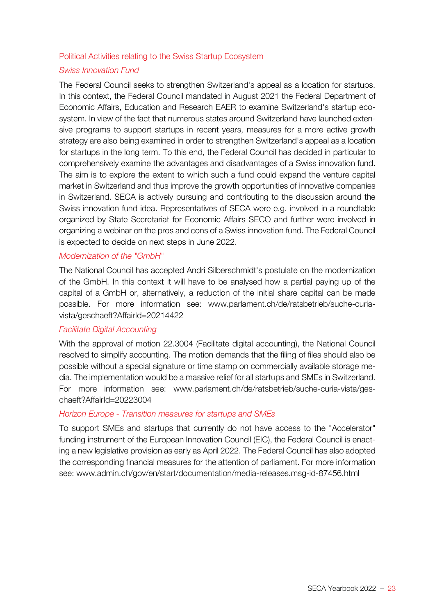#### Political Activities relating to the Swiss Startup Ecosystem

# *Swiss Innovation Fund*

The Federal Council seeks to strengthen Switzerland's appeal as a location for startups. In this context, the Federal Council mandated in August 2021 the Federal Department of Economic Affairs, Education and Research EAER to examine Switzerland's startup ecosystem. In view of the fact that numerous states around Switzerland have launched extensive programs to support startups in recent years, measures for a more active growth strategy are also being examined in order to strengthen Switzerland's appeal as a location for startups in the long term. To this end, the Federal Council has decided in particular to comprehensively examine the advantages and disadvantages of a Swiss innovation fund. The aim is to explore the extent to which such a fund could expand the venture capital market in Switzerland and thus improve the growth opportunities of innovative companies in Switzerland. SECA is actively pursuing and contributing to the discussion around the Swiss innovation fund idea. Representatives of SECA were e.g. involved in a roundtable organized by State Secretariat for Economic Affairs SECO and further were involved in organizing a webinar on the pros and cons of a Swiss innovation fund. The Federal Council is expected to decide on next steps in June 2022.

### *Modernization of the "GmbH"*

The National Council has accepted Andri Silberschmidt's postulate on the modernization of the GmbH. In this context it will have to be analysed how a partial paying up of the capital of a GmbH or, alternatively, a reduction of the initial share capital can be made possible. For more information see: www.parlament.ch/de/ratsbetrieb/suche-curiavista/geschaeft?AffairId=20214422

#### *Facilitate Digital Accounting*

With the approval of motion 22.3004 (Facilitate digital accounting), the National Council resolved to simplify accounting. The motion demands that the filing of files should also be possible without a special signature or time stamp on commercially available storage media. The implementation would be a massive relief for all startups and SMEs in Switzerland. For more information see: www.parlament.ch/de/ratsbetrieb/suche-curia-vista/geschaeft?AffairId=20223004

#### *Horizon Europe - Transition measures for startups and SMEs*

To support SMEs and startups that currently do not have access to the "Accelerator" funding instrument of the European Innovation Council (EIC), the Federal Council is enacting a new legislative provision as early as April 2022. The Federal Council has also adopted the corresponding financial measures for the attention of parliament. For more information see: www.admin.ch/gov/en/start/documentation/media-releases.msg-id-87456.html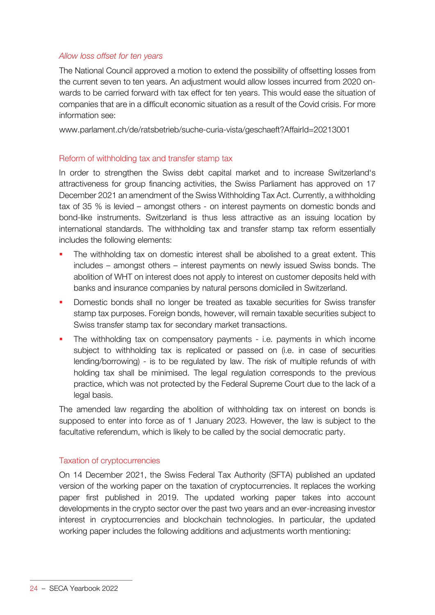### *Allow loss offset for ten years*

The National Council approved a motion to extend the possibility of offsetting losses from the current seven to ten years. An adjustment would allow losses incurred from 2020 onwards to be carried forward with tax effect for ten years. This would ease the situation of companies that are in a difficult economic situation as a result of the Covid crisis. For more information see:

www.parlament.ch/de/ratsbetrieb/suche-curia-vista/geschaeft?AffairId=20213001

### Reform of withholding tax and transfer stamp tax

In order to strengthen the Swiss debt capital market and to increase Switzerland's attractiveness for group financing activities, the Swiss Parliament has approved on 17 December 2021 an amendment of the Swiss Withholding Tax Act. Currently, a withholding tax of 35 % is levied – amongst others - on interest payments on domestic bonds and bond-like instruments. Switzerland is thus less attractive as an issuing location by international standards. The withholding tax and transfer stamp tax reform essentially includes the following elements:

- The withholding tax on domestic interest shall be abolished to a great extent. This includes – amongst others – interest payments on newly issued Swiss bonds. The abolition of WHT on interest does not apply to interest on customer deposits held with banks and insurance companies by natural persons domiciled in Switzerland.
- Domestic bonds shall no longer be treated as taxable securities for Swiss transfer stamp tax purposes. Foreign bonds, however, will remain taxable securities subject to Swiss transfer stamp tax for secondary market transactions.
- The withholding tax on compensatory payments i.e. payments in which income subject to withholding tax is replicated or passed on (i.e. in case of securities lending/borrowing) - is to be regulated by law. The risk of multiple refunds of with holding tax shall be minimised. The legal regulation corresponds to the previous practice, which was not protected by the Federal Supreme Court due to the lack of a legal basis.

The amended law regarding the abolition of withholding tax on interest on bonds is supposed to enter into force as of 1 January 2023. However, the law is subject to the facultative referendum, which is likely to be called by the social democratic party.

#### Taxation of cryptocurrencies

On 14 December 2021, the Swiss Federal Tax Authority (SFTA) published an updated version of the working paper on the taxation of cryptocurrencies. It replaces the working paper first published in 2019. The updated working paper takes into account developments in the crypto sector over the past two years and an ever-increasing investor interest in cryptocurrencies and blockchain technologies. In particular, the updated working paper includes the following additions and adjustments worth mentioning: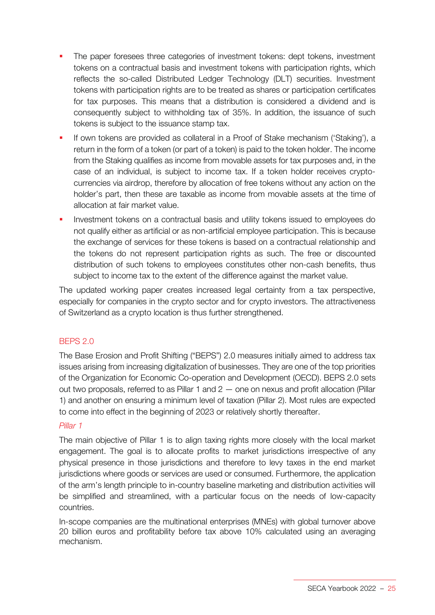- The paper foresees three categories of investment tokens: dept tokens, investment tokens on a contractual basis and investment tokens with participation rights, which reflects the so-called Distributed Ledger Technology (DLT) securities. Investment tokens with participation rights are to be treated as shares or participation certificates for tax purposes. This means that a distribution is considered a dividend and is consequently subject to withholding tax of 35%. In addition, the issuance of such tokens is subject to the issuance stamp tax.
- If own tokens are provided as collateral in a Proof of Stake mechanism ('Staking'), a return in the form of a token (or part of a token) is paid to the token holder. The income from the Staking qualifies as income from movable assets for tax purposes and, in the case of an individual, is subject to income tax. If a token holder receives cryptocurrencies via airdrop, therefore by allocation of free tokens without any action on the holder's part, then these are taxable as income from movable assets at the time of allocation at fair market value.
- Investment tokens on a contractual basis and utility tokens issued to employees do not qualify either as artificial or as non-artificial employee participation. This is because the exchange of services for these tokens is based on a contractual relationship and the tokens do not represent participation rights as such. The free or discounted distribution of such tokens to employees constitutes other non-cash benefits, thus subject to income tax to the extent of the difference against the market value.

The updated working paper creates increased legal certainty from a tax perspective, especially for companies in the crypto sector and for crypto investors. The attractiveness of Switzerland as a crypto location is thus further strengthened.

# BEPS 2.0

The Base Erosion and Profit Shifting ("BEPS") 2.0 measures initially aimed to address tax issues arising from increasing digitalization of businesses. They are one of the top priorities of the Organization for Economic Co-operation and Development (OECD). BEPS 2.0 sets out two proposals, referred to as Pillar 1 and 2 — one on nexus and profit allocation (Pillar 1) and another on ensuring a minimum level of taxation (Pillar 2). Most rules are expected to come into effect in the beginning of 2023 or relatively shortly thereafter.

#### *Pillar 1*

The main objective of Pillar 1 is to align taxing rights more closely with the local market engagement. The goal is to allocate profits to market jurisdictions irrespective of any physical presence in those jurisdictions and therefore to levy taxes in the end market jurisdictions where goods or services are used or consumed. Furthermore, the application of the arm's length principle to in-country baseline marketing and distribution activities will be simplified and streamlined, with a particular focus on the needs of low-capacity countries.

In-scope companies are the multinational enterprises (MNEs) with global turnover above 20 billion euros and profitability before tax above 10% calculated using an averaging mechanism.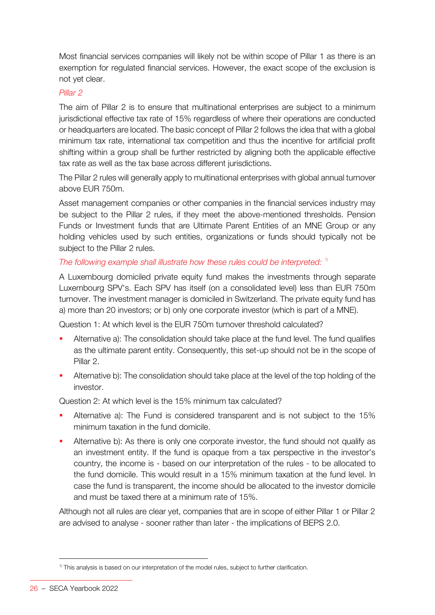Most financial services companies will likely not be within scope of Pillar 1 as there is an exemption for regulated financial services. However, the exact scope of the exclusion is not yet clear.

# *Pillar 2*

The aim of Pillar 2 is to ensure that multinational enterprises are subject to a minimum jurisdictional effective tax rate of 15% regardless of where their operations are conducted or headquarters are located. The basic concept of Pillar 2 follows the idea that with a global minimum tax rate, international tax competition and thus the incentive for artificial profit shifting within a group shall be further restricted by aligning both the applicable effective tax rate as well as the tax base across different jurisdictions.

The Pillar 2 rules will generally apply to multinational enterprises with global annual turnover above EUR 750m.

Asset management companies or other companies in the financial services industry may be subject to the Pillar 2 rules, if they meet the above-mentioned thresholds. Pension Funds or Investment funds that are Ultimate Parent Entities of an MNE Group or any holding vehicles used by such entities, organizations or funds should typically not be subject to the Pillar 2 rules.

# *The following example shall illustrate how these rules could be interpreted: 1)*

A Luxembourg domiciled private equity fund makes the investments through separate Luxembourg SPV's. Each SPV has itself (on a consolidated level) less than EUR 750m turnover. The investment manager is domiciled in Switzerland. The private equity fund has a) more than 20 investors; or b) only one corporate investor (which is part of a MNE).

Question 1: At which level is the EUR 750m turnover threshold calculated?

- Alternative a): The consolidation should take place at the fund level. The fund qualifies as the ultimate parent entity. Consequently, this set-up should not be in the scope of Pillar 2.
- Alternative b): The consolidation should take place at the level of the top holding of the investor.

Question 2: At which level is the 15% minimum tax calculated?

- Alternative a): The Fund is considered transparent and is not subject to the 15% minimum taxation in the fund domicile.
- Alternative b): As there is only one corporate investor, the fund should not qualify as an investment entity. If the fund is opaque from a tax perspective in the investor's country, the income is - based on our interpretation of the rules - to be allocated to the fund domicile. This would result in a 15% minimum taxation at the fund level. In case the fund is transparent, the income should be allocated to the investor domicile and must be taxed there at a minimum rate of 15%.

Although not all rules are clear yet, companies that are in scope of either Pillar 1 or Pillar 2 are advised to analyse - sooner rather than later - the implications of BEPS 2.0.

<sup>&</sup>lt;sup>1)</sup> This analysis is based on our interpretation of the model rules, subject to further clarification.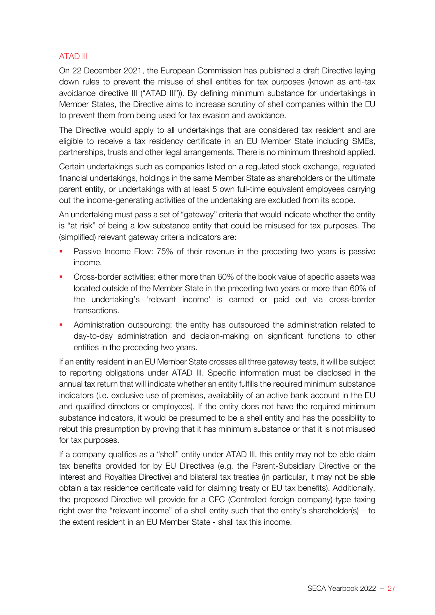# ATAD III

On 22 December 2021, the European Commission has published a draft Directive laying down rules to prevent the misuse of shell entities for tax purposes (known as anti-tax avoidance directive III ("ATAD III")). By defining minimum substance for undertakings in Member States, the Directive aims to increase scrutiny of shell companies within the EU to prevent them from being used for tax evasion and avoidance.

The Directive would apply to all undertakings that are considered tax resident and are eligible to receive a tax residency certificate in an EU Member State including SMEs, partnerships, trusts and other legal arrangements. There is no minimum threshold applied.

Certain undertakings such as companies listed on a regulated stock exchange, regulated financial undertakings, holdings in the same Member State as shareholders or the ultimate parent entity, or undertakings with at least 5 own full-time equivalent employees carrying out the income-generating activities of the undertaking are excluded from its scope.

An undertaking must pass a set of "gateway" criteria that would indicate whether the entity is "at risk" of being a low-substance entity that could be misused for tax purposes. The (simplified) relevant gateway criteria indicators are:

- **Passive Income Flow: 75% of their revenue in the preceding two years is passive** income.
- Cross-border activities: either more than 60% of the book value of specific assets was located outside of the Member State in the preceding two years or more than 60% of the undertaking's 'relevant income' is earned or paid out via cross-border transactions.
- Administration outsourcing: the entity has outsourced the administration related to day-to-day administration and decision-making on significant functions to other entities in the preceding two years.

If an entity resident in an EU Member State crosses all three gateway tests, it will be subject to reporting obligations under ATAD III. Specific information must be disclosed in the annual tax return that will indicate whether an entity fulfills the required minimum substance indicators (i.e. exclusive use of premises, availability of an active bank account in the EU and qualified directors or employees). If the entity does not have the required minimum substance indicators, it would be presumed to be a shell entity and has the possibility to rebut this presumption by proving that it has minimum substance or that it is not misused for tax purposes.

If a company qualifies as a "shell" entity under ATAD III, this entity may not be able claim tax benefits provided for by EU Directives (e.g. the Parent-Subsidiary Directive or the Interest and Royalties Directive) and bilateral tax treaties (in particular, it may not be able obtain a tax residence certificate valid for claiming treaty or EU tax benefits). Additionally, the proposed Directive will provide for a CFC (Controlled foreign company)-type taxing right over the "relevant income" of a shell entity such that the entity's shareholder(s) – to the extent resident in an EU Member State - shall tax this income.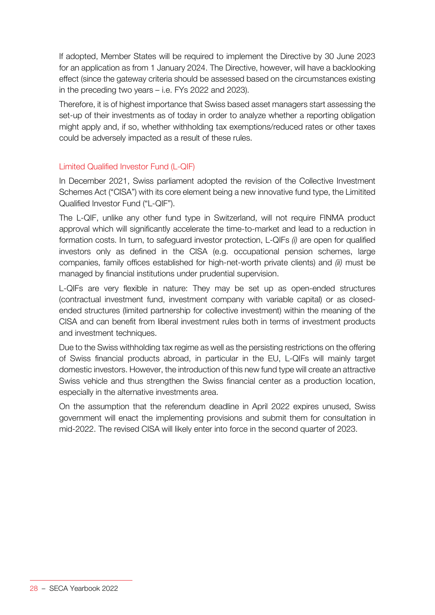If adopted, Member States will be required to implement the Directive by 30 June 2023 for an application as from 1 January 2024. The Directive, however, will have a backlooking effect (since the gateway criteria should be assessed based on the circumstances existing in the preceding two years – i.e. FYs 2022 and 2023).

Therefore, it is of highest importance that Swiss based asset managers start assessing the set-up of their investments as of today in order to analyze whether a reporting obligation might apply and, if so, whether withholding tax exemptions/reduced rates or other taxes could be adversely impacted as a result of these rules.

# Limited Qualified Investor Fund (L-QIF)

In December 2021, Swiss parliament adopted the revision of the Collective Investment Schemes Act ("CISA") with its core element being a new innovative fund type, the Limitited Qualified Investor Fund ("L-QIF").

The L-QIF, unlike any other fund type in Switzerland, will not require FINMA product approval which will significantly accelerate the time-to-market and lead to a reduction in formation costs. In turn, to safeguard investor protection, L-QIFs *(i)* are open for qualified investors only as defined in the CISA (e.g. occupational pension schemes, large companies, family offices established for high-net-worth private clients) and *(ii)* must be managed by financial institutions under prudential supervision.

L-QIFs are very flexible in nature: They may be set up as open-ended structures (contractual investment fund, investment company with variable capital) or as closedended structures (limited partnership for collective investment) within the meaning of the CISA and can benefit from liberal investment rules both in terms of investment products and investment techniques.

Due to the Swiss withholding tax regime as well as the persisting restrictions on the offering of Swiss financial products abroad, in particular in the EU, L-QIFs will mainly target domestic investors. However, the introduction of this new fund type will create an attractive Swiss vehicle and thus strengthen the Swiss financial center as a production location, especially in the alternative investments area.

On the assumption that the referendum deadline in April 2022 expires unused, Swiss government will enact the implementing provisions and submit them for consultation in mid-2022. The revised CISA will likely enter into force in the second quarter of 2023.